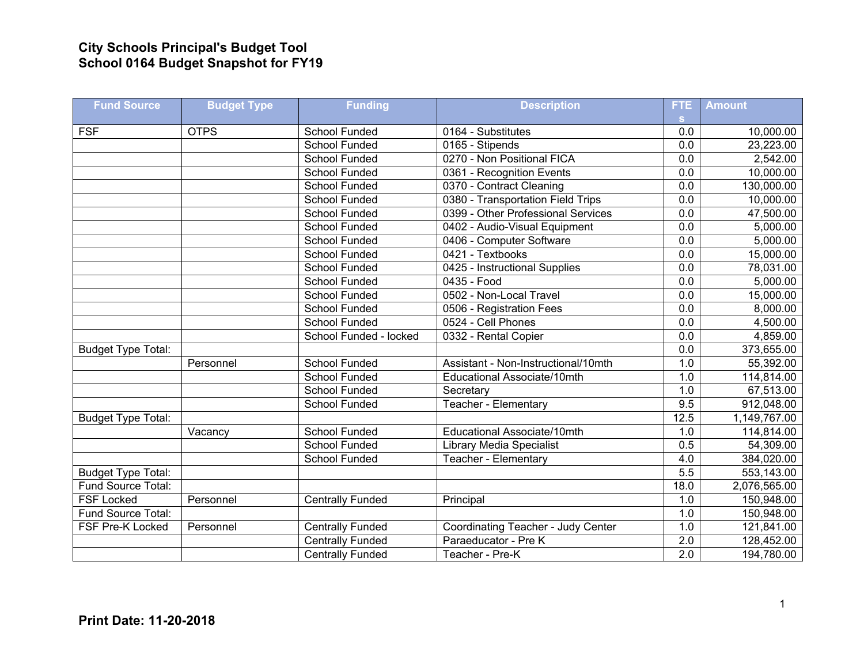## **City Schools Principal's Budget Tool School 0164 Budget Snapshot for FY19**

| <b>Fund Source</b>        | <b>Budget Type</b> | <b>Funding</b>          | <b>Description</b>                  | FTE.             | <b>Amount</b> |
|---------------------------|--------------------|-------------------------|-------------------------------------|------------------|---------------|
|                           |                    |                         |                                     | S.               |               |
| <b>FSF</b>                | <b>OTPS</b>        | School Funded           | 0164 - Substitutes                  | 0.0              | 10,000.00     |
|                           |                    | <b>School Funded</b>    | 0165 - Stipends                     | 0.0              | 23,223.00     |
|                           |                    | School Funded           | 0270 - Non Positional FICA          | 0.0              | 2,542.00      |
|                           |                    | School Funded           | 0361 - Recognition Events           | 0.0              | 10,000.00     |
|                           |                    | School Funded           | 0370 - Contract Cleaning            | $\overline{0.0}$ | 130,000.00    |
|                           |                    | School Funded           | 0380 - Transportation Field Trips   | 0.0              | 10,000.00     |
|                           |                    | School Funded           | 0399 - Other Professional Services  | 0.0              | 47,500.00     |
|                           |                    | School Funded           | 0402 - Audio-Visual Equipment       | 0.0              | 5,000.00      |
|                           |                    | School Funded           | 0406 - Computer Software            | 0.0              | 5,000.00      |
|                           |                    | School Funded           | 0421 - Textbooks                    | 0.0              | 15,000.00     |
|                           |                    | School Funded           | 0425 - Instructional Supplies       | $\overline{0.0}$ | 78,031.00     |
|                           |                    | <b>School Funded</b>    | 0435 - Food                         | 0.0              | 5,000.00      |
|                           |                    | School Funded           | 0502 - Non-Local Travel             | 0.0              | 15,000.00     |
|                           |                    | <b>School Funded</b>    | 0506 - Registration Fees            | 0.0              | 8,000.00      |
|                           |                    | School Funded           | 0524 - Cell Phones                  | 0.0              | 4,500.00      |
|                           |                    | School Funded - locked  | 0332 - Rental Copier                | 0.0              | 4,859.00      |
| <b>Budget Type Total:</b> |                    |                         |                                     | $\overline{0.0}$ | 373,655.00    |
|                           | Personnel          | <b>School Funded</b>    | Assistant - Non-Instructional/10mth | 1.0              | 55,392.00     |
|                           |                    | School Funded           | Educational Associate/10mth         | 1.0              | 114,814.00    |
|                           |                    | <b>School Funded</b>    | Secretary                           | 1.0              | 67,513.00     |
|                           |                    | School Funded           | Teacher - Elementary                | 9.5              | 912,048.00    |
| <b>Budget Type Total:</b> |                    |                         |                                     | 12.5             | 1,149,767.00  |
|                           | Vacancy            | <b>School Funded</b>    | Educational Associate/10mth         | 1.0              | 114,814.00    |
|                           |                    | School Funded           | <b>Library Media Specialist</b>     | 0.5              | 54,309.00     |
|                           |                    | School Funded           | Teacher - Elementary                | 4.0              | 384,020.00    |
| <b>Budget Type Total:</b> |                    |                         |                                     | 5.5              | 553,143.00    |
| Fund Source Total:        |                    |                         |                                     | 18.0             | 2,076,565.00  |
| <b>FSF Locked</b>         | Personnel          | <b>Centrally Funded</b> | Principal                           | 1.0              | 150,948.00    |
| Fund Source Total:        |                    |                         |                                     | 1.0              | 150,948.00    |
| FSF Pre-K Locked          | Personnel          | <b>Centrally Funded</b> | Coordinating Teacher - Judy Center  | 1.0              | 121,841.00    |
|                           |                    | <b>Centrally Funded</b> | Paraeducator - Pre K                | 2.0              | 128,452.00    |
|                           |                    | <b>Centrally Funded</b> | Teacher - Pre-K                     | $\overline{2.0}$ | 194,780.00    |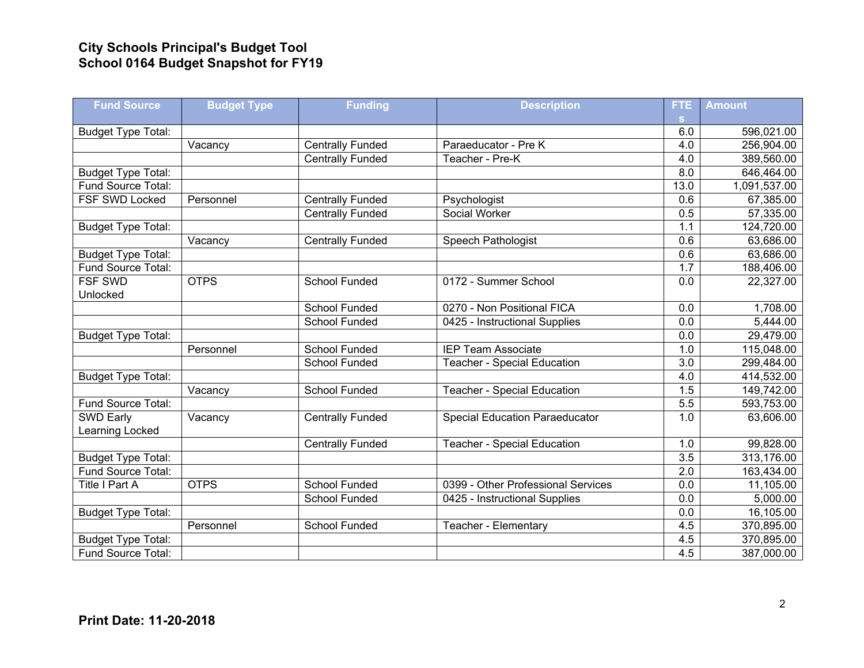## **City Schools Principal's Budget Tool School 0164 Budget Snapshot for FY19**

| <b>Fund Source</b>        | <b>Budget Type</b> | <b>Funding</b>          | <b>Description</b>                    | <b>FTE</b>       | <b>Amount</b> |
|---------------------------|--------------------|-------------------------|---------------------------------------|------------------|---------------|
|                           |                    |                         |                                       | S.               |               |
| <b>Budget Type Total:</b> |                    |                         |                                       | 6.0              | 596,021.00    |
|                           | Vacancy            | <b>Centrally Funded</b> | Paraeducator - Pre K                  | 4.0              | 256,904.00    |
|                           |                    | <b>Centrally Funded</b> | Teacher - Pre-K                       | 4.0              | 389,560.00    |
| <b>Budget Type Total:</b> |                    |                         |                                       | 8.0              | 646,464.00    |
| Fund Source Total:        |                    |                         |                                       | 13.0             | 1,091,537.00  |
| <b>FSF SWD Locked</b>     | Personnel          | <b>Centrally Funded</b> | Psychologist                          | 0.6              | 67,385.00     |
|                           |                    | <b>Centrally Funded</b> | Social Worker                         | 0.5              | 57,335.00     |
| <b>Budget Type Total:</b> |                    |                         |                                       | 1.1              | 124,720.00    |
|                           | Vacancy            | <b>Centrally Funded</b> | Speech Pathologist                    | 0.6              | 63,686.00     |
| <b>Budget Type Total:</b> |                    |                         |                                       | 0.6              | 63,686.00     |
| Fund Source Total:        |                    |                         |                                       | $\overline{1.7}$ | 188,406.00    |
| <b>FSF SWD</b>            | <b>OTPS</b>        | <b>School Funded</b>    | 0172 - Summer School                  | 0.0              | 22,327.00     |
| Unlocked                  |                    |                         |                                       |                  |               |
|                           |                    | <b>School Funded</b>    | 0270 - Non Positional FICA            | 0.0              | 1,708.00      |
|                           |                    | <b>School Funded</b>    | 0425 - Instructional Supplies         | 0.0              | 5,444.00      |
| <b>Budget Type Total:</b> |                    |                         |                                       | 0.0              | 29,479.00     |
|                           | Personnel          | <b>School Funded</b>    | <b>IEP Team Associate</b>             | 1.0              | 115,048.00    |
|                           |                    | School Funded           | <b>Teacher - Special Education</b>    | $\overline{3.0}$ | 299,484.00    |
| <b>Budget Type Total:</b> |                    |                         |                                       | 4.0              | 414,532.00    |
|                           | Vacancy            | <b>School Funded</b>    | <b>Teacher - Special Education</b>    | 1.5              | 149,742.00    |
| Fund Source Total:        |                    |                         |                                       | 5.5              | 593,753.00    |
| SWD Early                 | Vacancy            | <b>Centrally Funded</b> | <b>Special Education Paraeducator</b> | 1.0              | 63,606.00     |
| Learning Locked           |                    |                         |                                       |                  |               |
|                           |                    | <b>Centrally Funded</b> | <b>Teacher - Special Education</b>    | 1.0              | 99,828.00     |
| <b>Budget Type Total:</b> |                    |                         |                                       | $\overline{3.5}$ | 313,176.00    |
| Fund Source Total:        |                    |                         |                                       | 2.0              | 163,434.00    |
| Title I Part A            | <b>OTPS</b>        | <b>School Funded</b>    | 0399 - Other Professional Services    | 0.0              | 11,105.00     |
|                           |                    | <b>School Funded</b>    | 0425 - Instructional Supplies         | $\overline{0.0}$ | 5,000.00      |
| <b>Budget Type Total:</b> |                    |                         |                                       | 0.0              | 16,105.00     |
|                           | Personnel          | <b>School Funded</b>    | Teacher - Elementary                  | 4.5              | 370,895.00    |
| <b>Budget Type Total:</b> |                    |                         |                                       | 4.5              | 370,895.00    |
| Fund Source Total:        |                    |                         |                                       | 4.5              | 387,000.00    |